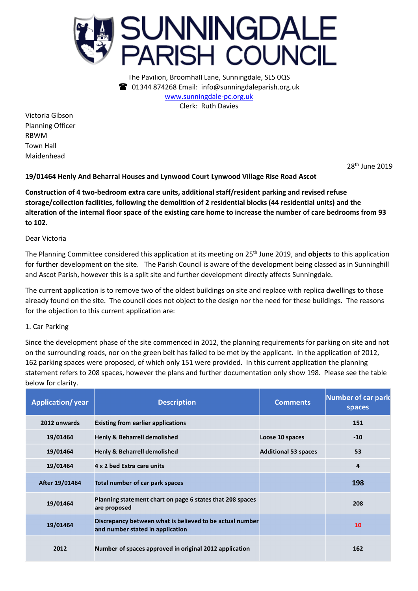

The Pavilion, Broomhall Lane, Sunningdale, SL5 0QS 01344 874268 Email: info@sunningdaleparish.org.uk [www.sunningdale-pc.org.uk](http://www.sunningdale-pc.org.uk/) Clerk: Ruth Davies

Victoria Gibson Planning Officer RBWM Town Hall Maidenhead

28th June 2019

**19/01464 Henly And Beharral Houses and Lynwood Court Lynwood Village Rise Road Ascot**

**Construction of 4 two-bedroom extra care units, additional staff/resident parking and revised refuse storage/collection facilities, following the demolition of 2 residential blocks (44 residential units) and the alteration of the internal floor space of the existing care home to increase the number of care bedrooms from 93 to 102.** 

Dear Victoria

The Planning Committee considered this application at its meeting on 25 th June 2019, and **objects** to this application for further development on the site. The Parish Council is aware of the development being classed as in Sunninghill and Ascot Parish, however this is a split site and further development directly affects Sunningdale.

The current application is to remove two of the oldest buildings on site and replace with replica dwellings to those already found on the site. The council does not object to the design nor the need for these buildings. The reasons for the objection to this current application are:

## 1. Car Parking

Since the development phase of the site commenced in 2012, the planning requirements for parking on site and not on the surrounding roads, nor on the green belt has failed to be met by the applicant. In the application of 2012, 162 parking spaces were proposed, of which only 151 were provided. In this current application the planning statement refers to 208 spaces, however the plans and further documentation only show 198. Please see the table below for clarity.

| <b>Application/year</b> | <b>Description</b>                                                                           | <b>Comments</b>             | Number of car park<br>spaces |
|-------------------------|----------------------------------------------------------------------------------------------|-----------------------------|------------------------------|
| 2012 onwards            | <b>Existing from earlier applications</b>                                                    |                             | 151                          |
| 19/01464                | <b>Henly &amp; Beharrell demolished</b>                                                      | Loose 10 spaces             | $-10$                        |
| 19/01464                | <b>Henly &amp; Beharrell demolished</b>                                                      | <b>Additional 53 spaces</b> | 53                           |
| 19/01464                | 4 x 2 bed Extra care units                                                                   |                             | 4                            |
| After 19/01464          | Total number of car park spaces                                                              |                             | 198                          |
| 19/01464                | Planning statement chart on page 6 states that 208 spaces<br>are proposed                    |                             | 208                          |
| 19/01464                | Discrepancy between what is believed to be actual number<br>and number stated in application |                             | 10                           |
| 2012                    | Number of spaces approved in original 2012 application                                       |                             | 162                          |